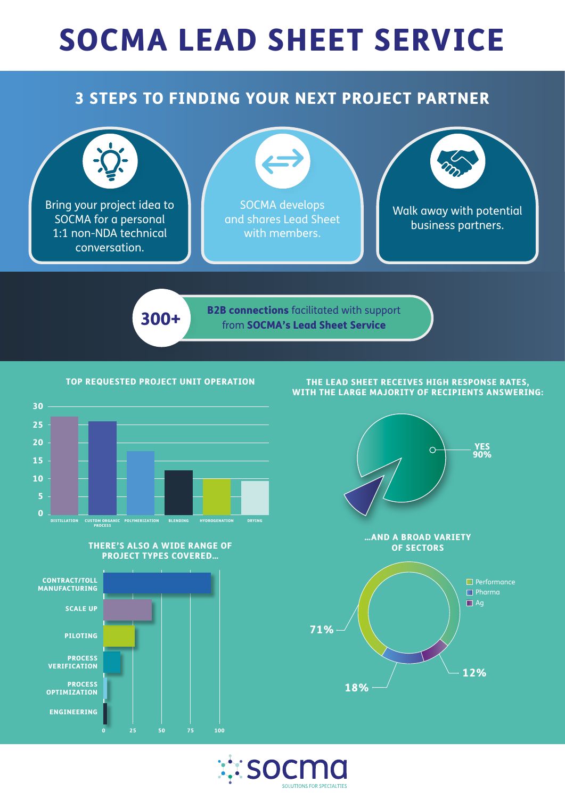## SOCMA LEAD SHEET SERVICE

## 3 STEPS TO FINDING YOUR NEXT PROJECT PARTNER